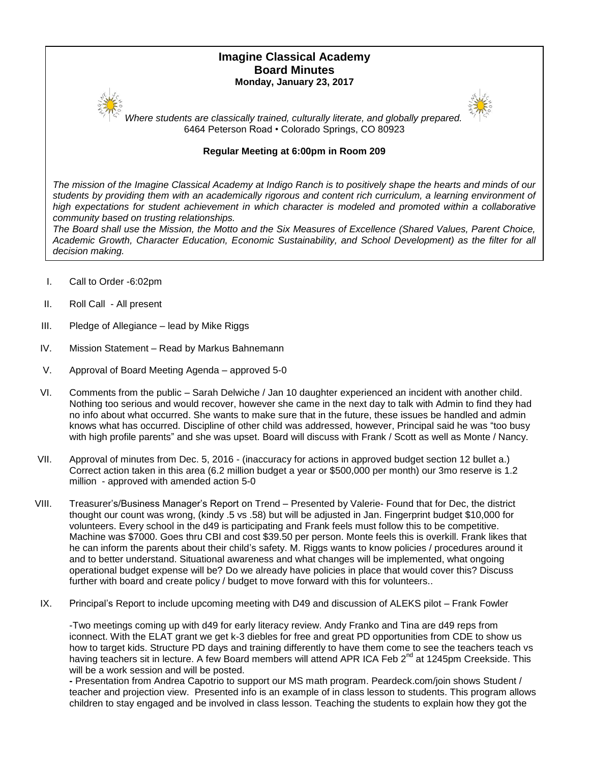# **Imagine Classical Academy Board Minutes Monday, January 23, 2017**



*Where students are classically trained, culturally literate, and globally prepared.* 6464 Peterson Road • Colorado Springs, CO 80923

## **Regular Meeting at 6:00pm in Room 209**

*The mission of the Imagine Classical Academy at Indigo Ranch is to positively shape the hearts and minds of our*  students by providing them with an academically rigorous and content rich curriculum, a learning environment of high expectations for student achievement in which character is modeled and promoted within a collaborative *community based on trusting relationships.*

*The Board shall use the Mission, the Motto and the Six Measures of Excellence (Shared Values, Parent Choice, Academic Growth, Character Education, Economic Sustainability, and School Development) as the filter for all decision making.*

- I. Call to Order -6:02pm
- II. Roll Call All present
- III. Pledge of Allegiance lead by Mike Riggs
- IV. Mission Statement Read by Markus Bahnemann
- V. Approval of Board Meeting Agenda approved 5-0
- VI. Comments from the public Sarah Delwiche / Jan 10 daughter experienced an incident with another child. Nothing too serious and would recover, however she came in the next day to talk with Admin to find they had no info about what occurred. She wants to make sure that in the future, these issues be handled and admin knows what has occurred. Discipline of other child was addressed, however, Principal said he was "too busy with high profile parents" and she was upset. Board will discuss with Frank / Scott as well as Monte / Nancy.
- VII. Approval of minutes from Dec. 5, 2016 (inaccuracy for actions in approved budget section 12 bullet a.) Correct action taken in this area (6.2 million budget a year or \$500,000 per month) our 3mo reserve is 1.2 million - approved with amended action 5-0
- VIII. Treasurer's/Business Manager's Report on Trend Presented by Valerie- Found that for Dec, the district thought our count was wrong, (kindy .5 vs .58) but will be adjusted in Jan. Fingerprint budget \$10,000 for volunteers. Every school in the d49 is participating and Frank feels must follow this to be competitive. Machine was \$7000. Goes thru CBI and cost \$39.50 per person. Monte feels this is overkill. Frank likes that he can inform the parents about their child's safety. M. Riggs wants to know policies / procedures around it and to better understand. Situational awareness and what changes will be implemented, what ongoing operational budget expense will be? Do we already have policies in place that would cover this? Discuss further with board and create policy / budget to move forward with this for volunteers..
- IX. Principal's Report to include upcoming meeting with D49 and discussion of ALEKS pilot Frank Fowler

-Two meetings coming up with d49 for early literacy review. Andy Franko and Tina are d49 reps from iconnect. With the ELAT grant we get k-3 diebles for free and great PD opportunities from CDE to show us how to target kids. Structure PD days and training differently to have them come to see the teachers teach vs having teachers sit in lecture. A few Board members will attend APR ICA Feb 2<sup>nd</sup> at 1245pm Creekside. This will be a work session and will be posted.

**-** Presentation from Andrea Capotrio to support our MS math program. Peardeck.com/join shows Student / teacher and projection view. Presented info is an example of in class lesson to students. This program allows children to stay engaged and be involved in class lesson. Teaching the students to explain how they got the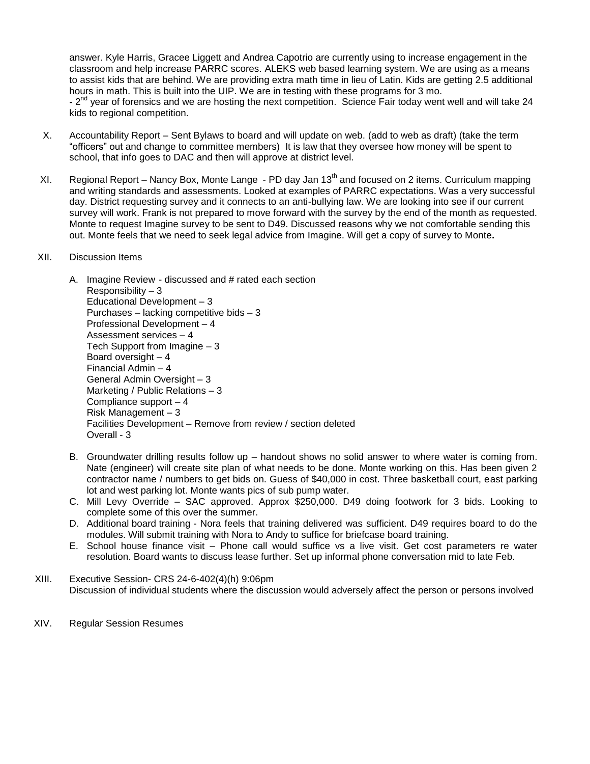answer. Kyle Harris, Gracee Liggett and Andrea Capotrio are currently using to increase engagement in the classroom and help increase PARRC scores. ALEKS web based learning system. We are using as a means to assist kids that are behind. We are providing extra math time in lieu of Latin. Kids are getting 2.5 additional hours in math. This is built into the UIP. We are in testing with these programs for 3 mo. **-** 2 nd year of forensics and we are hosting the next competition. Science Fair today went well and will take 24 kids to regional competition.

- X. Accountability Report Sent Bylaws to board and will update on web. (add to web as draft) (take the term "officers" out and change to committee members) It is law that they oversee how money will be spent to school, that info goes to DAC and then will approve at district level.
- XI. Regional Report Nancy Box, Monte Lange PD day Jan 13<sup>th</sup> and focused on 2 items. Curriculum mapping and writing standards and assessments. Looked at examples of PARRC expectations. Was a very successful day. District requesting survey and it connects to an anti-bullying law. We are looking into see if our current survey will work. Frank is not prepared to move forward with the survey by the end of the month as requested. Monte to request Imagine survey to be sent to D49. Discussed reasons why we not comfortable sending this out. Monte feels that we need to seek legal advice from Imagine. Will get a copy of survey to Monte**.**

### XII. Discussion Items

- A. Imagine Review discussed and # rated each section Responsibility – 3 Educational Development – 3 Purchases – lacking competitive bids – 3 Professional Development – 4 Assessment services – 4 Tech Support from Imagine – 3 Board oversight – 4 Financial Admin – 4 General Admin Oversight – 3 Marketing / Public Relations – 3 Compliance support – 4 Risk Management – 3 Facilities Development – Remove from review / section deleted Overall - 3
- B. Groundwater drilling results follow up handout shows no solid answer to where water is coming from. Nate (engineer) will create site plan of what needs to be done. Monte working on this. Has been given 2 contractor name / numbers to get bids on. Guess of \$40,000 in cost. Three basketball court, east parking lot and west parking lot. Monte wants pics of sub pump water.
- C. Mill Levy Override SAC approved. Approx \$250,000. D49 doing footwork for 3 bids. Looking to complete some of this over the summer.
- D. Additional board training Nora feels that training delivered was sufficient. D49 requires board to do the modules. Will submit training with Nora to Andy to suffice for briefcase board training.
- E. School house finance visit Phone call would suffice vs a live visit. Get cost parameters re water resolution. Board wants to discuss lease further. Set up informal phone conversation mid to late Feb.
- XIII. Executive Session- CRS 24-6-402(4)(h) 9:06pm Discussion of individual students where the discussion would adversely affect the person or persons involved
- XIV. Regular Session Resumes